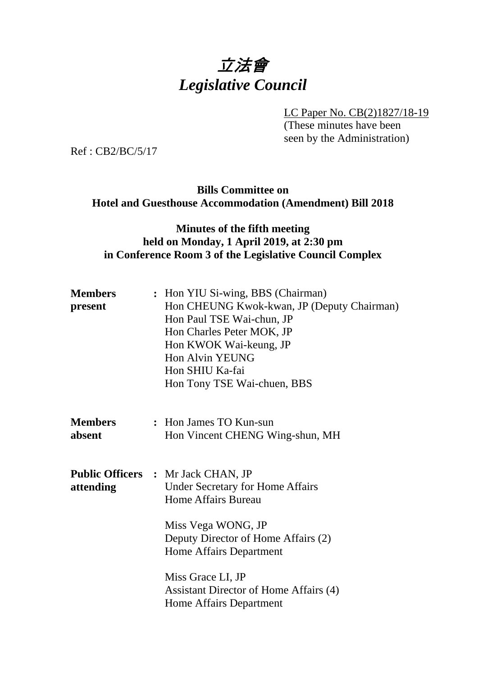# 立法會 *Legislative Council*

LC Paper No. CB(2)1827/18-19

(These minutes have been seen by the Administration)

Ref : CB2/BC/5/17

## **Bills Committee on Hotel and Guesthouse Accommodation (Amendment) Bill 2018**

## **Minutes of the fifth meeting held on Monday, 1 April 2019, at 2:30 pm in Conference Room 3 of the Legislative Council Complex**

| <b>Members</b><br>present | : Hon YIU Si-wing, BBS (Chairman)<br>Hon CHEUNG Kwok-kwan, JP (Deputy Chairman)<br>Hon Paul TSE Wai-chun, JP<br>Hon Charles Peter MOK, JP<br>Hon KWOK Wai-keung, JP<br>Hon Alvin YEUNG<br>Hon SHIU Ka-fai<br>Hon Tony TSE Wai-chuen, BBS |
|---------------------------|------------------------------------------------------------------------------------------------------------------------------------------------------------------------------------------------------------------------------------------|
| <b>Members</b><br>absent  | : Hon James TO Kun-sun<br>Hon Vincent CHENG Wing-shun, MH                                                                                                                                                                                |
| attending                 | <b>Public Officers : Mr Jack CHAN, JP</b><br><b>Under Secretary for Home Affairs</b><br><b>Home Affairs Bureau</b><br>Miss Vega WONG, JP<br>Deputy Director of Home Affairs (2)<br>Home Affairs Department                               |
|                           | Miss Grace LI, JP<br>Assistant Director of Home Affairs (4)<br>Home Affairs Department                                                                                                                                                   |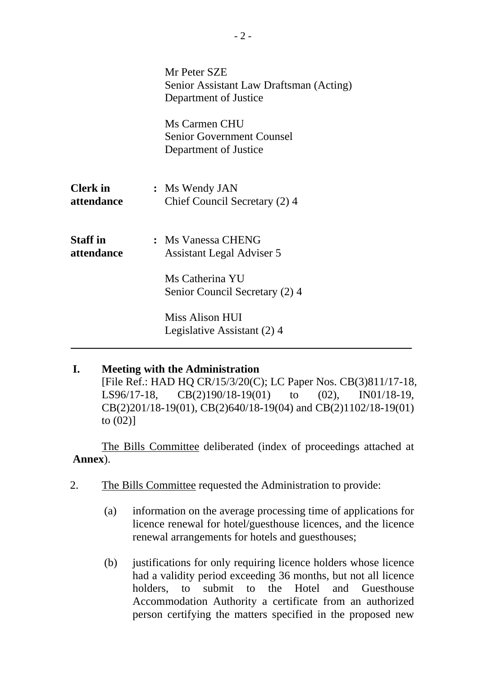|                               | Mr Peter SZE<br>Senior Assistant Law Draftsman (Acting)<br>Department of Justice |
|-------------------------------|----------------------------------------------------------------------------------|
|                               | Ms Carmen CHU<br><b>Senior Government Counsel</b><br>Department of Justice       |
| <b>Clerk</b> in<br>attendance | : Ms Wendy JAN<br>Chief Council Secretary (2) 4                                  |
| <b>Staff</b> in<br>attendance | : Ms Vanessa CHENG<br>Assistant Legal Adviser 5<br>Ms Catherina YU               |
|                               | Senior Council Secretary (2) 4<br>Miss Alison HUI<br>Legislative Assistant (2) 4 |

## **I. Meeting with the Administration**

[File Ref.: HAD HQ CR/15/3/20(C); LC Paper Nos. CB(3)811/17-18, LS96/17-18, CB(2)190/18-19(01) to (02), IN01/18-19, CB(2)201/18-19(01), CB(2)640/18-19(04) and CB(2)1102/18-19(01) to  $(02)$ ]

The Bills Committee deliberated (index of proceedings attached at **Annex**).

- 2. The Bills Committee requested the Administration to provide:
	- (a) information on the average processing time of applications for licence renewal for hotel/guesthouse licences, and the licence renewal arrangements for hotels and guesthouses;
	- (b) justifications for only requiring licence holders whose licence had a validity period exceeding 36 months, but not all licence holders, to submit to the Hotel and Guesthouse Accommodation Authority a certificate from an authorized person certifying the matters specified in the proposed new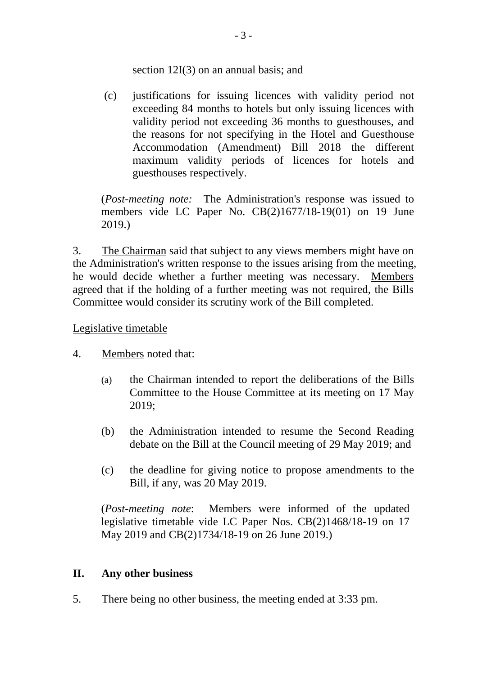#### section 12I(3) on an annual basis; and

(c) justifications for issuing licences with validity period not exceeding 84 months to hotels but only issuing licences with validity period not exceeding 36 months to guesthouses, and the reasons for not specifying in the Hotel and Guesthouse Accommodation (Amendment) Bill 2018 the different maximum validity periods of licences for hotels and guesthouses respectively.

(*Post-meeting note:* The Administration's response was issued to members vide LC Paper No. CB(2)1677/18-19(01) on 19 June 2019.)

3. The Chairman said that subject to any views members might have on the Administration's written response to the issues arising from the meeting, he would decide whether a further meeting was necessary. Members agreed that if the holding of a further meeting was not required, the Bills Committee would consider its scrutiny work of the Bill completed.

#### Legislative timetable

- 4. Members noted that:
	- (a) the Chairman intended to report the deliberations of the Bills Committee to the House Committee at its meeting on 17 May 2019;
	- (b) the Administration intended to resume the Second Reading debate on the Bill at the Council meeting of 29 May 2019; and
	- (c) the deadline for giving notice to propose amendments to the Bill, if any, was 20 May 2019.

(*Post-meeting note*: Members were informed of the updated legislative timetable vide LC Paper Nos. CB(2)1468/18-19 on 17 May 2019 and CB(2)1734/18-19 on 26 June 2019.)

### **II. Any other business**

5. There being no other business, the meeting ended at 3:33 pm.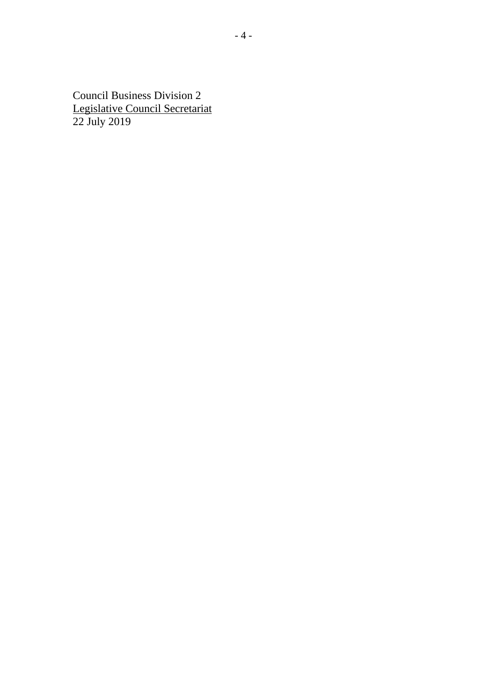Council Business Division 2 Legislative Council Secretariat 22 July 2019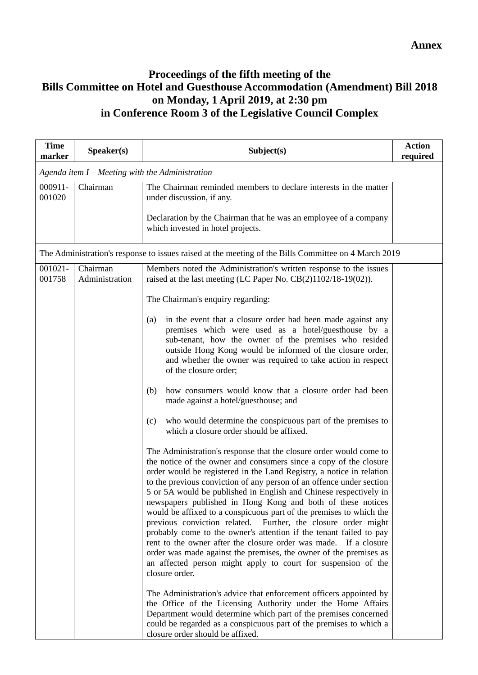## **Proceedings of the fifth meeting of the Bills Committee on Hotel and Guesthouse Accommodation (Amendment) Bill 2018 on Monday, 1 April 2019, at 2:30 pm in Conference Room 3 of the Legislative Council Complex**

| <b>Time</b><br>marker | Speaker(s)                 | Subject(s)                                                                                                                                                                                                                                                                                                                                                                                                                                                                                                                                                                                                                                                                                                                                                                                                                                                                                                                                                                                                                                                                                                                                                                                                                                                                                                                                                                                                                                                                                                                                                                                                                                                                                        | <b>Action</b><br>required |
|-----------------------|----------------------------|---------------------------------------------------------------------------------------------------------------------------------------------------------------------------------------------------------------------------------------------------------------------------------------------------------------------------------------------------------------------------------------------------------------------------------------------------------------------------------------------------------------------------------------------------------------------------------------------------------------------------------------------------------------------------------------------------------------------------------------------------------------------------------------------------------------------------------------------------------------------------------------------------------------------------------------------------------------------------------------------------------------------------------------------------------------------------------------------------------------------------------------------------------------------------------------------------------------------------------------------------------------------------------------------------------------------------------------------------------------------------------------------------------------------------------------------------------------------------------------------------------------------------------------------------------------------------------------------------------------------------------------------------------------------------------------------------|---------------------------|
|                       |                            | Agenda item $I$ – Meeting with the Administration                                                                                                                                                                                                                                                                                                                                                                                                                                                                                                                                                                                                                                                                                                                                                                                                                                                                                                                                                                                                                                                                                                                                                                                                                                                                                                                                                                                                                                                                                                                                                                                                                                                 |                           |
| 000911-<br>001020     | Chairman                   | The Chairman reminded members to declare interests in the matter<br>under discussion, if any.<br>Declaration by the Chairman that he was an employee of a company<br>which invested in hotel projects.                                                                                                                                                                                                                                                                                                                                                                                                                                                                                                                                                                                                                                                                                                                                                                                                                                                                                                                                                                                                                                                                                                                                                                                                                                                                                                                                                                                                                                                                                            |                           |
|                       |                            | The Administration's response to issues raised at the meeting of the Bills Committee on 4 March 2019                                                                                                                                                                                                                                                                                                                                                                                                                                                                                                                                                                                                                                                                                                                                                                                                                                                                                                                                                                                                                                                                                                                                                                                                                                                                                                                                                                                                                                                                                                                                                                                              |                           |
| 001021-<br>001758     | Chairman<br>Administration | Members noted the Administration's written response to the issues<br>raised at the last meeting (LC Paper No. $CB(2)1102/18-19(02)$ ).<br>The Chairman's enquiry regarding:<br>in the event that a closure order had been made against any<br>(a)<br>premises which were used as a hotel/guesthouse by a<br>sub-tenant, how the owner of the premises who resided<br>outside Hong Kong would be informed of the closure order,<br>and whether the owner was required to take action in respect<br>of the closure order;<br>how consumers would know that a closure order had been<br>(b)<br>made against a hotel/guesthouse; and<br>who would determine the conspicuous part of the premises to<br>(c)<br>which a closure order should be affixed.<br>The Administration's response that the closure order would come to<br>the notice of the owner and consumers since a copy of the closure<br>order would be registered in the Land Registry, a notice in relation<br>to the previous conviction of any person of an offence under section<br>5 or 5A would be published in English and Chinese respectively in<br>newspapers published in Hong Kong and both of these notices<br>would be affixed to a conspicuous part of the premises to which the<br>previous conviction related. Further, the closure order might<br>probably come to the owner's attention if the tenant failed to pay<br>rent to the owner after the closure order was made. If a closure<br>order was made against the premises, the owner of the premises as<br>an affected person might apply to court for suspension of the<br>closure order.<br>The Administration's advice that enforcement officers appointed by |                           |
|                       |                            | the Office of the Licensing Authority under the Home Affairs<br>Department would determine which part of the premises concerned<br>could be regarded as a conspicuous part of the premises to which a<br>closure order should be affixed.                                                                                                                                                                                                                                                                                                                                                                                                                                                                                                                                                                                                                                                                                                                                                                                                                                                                                                                                                                                                                                                                                                                                                                                                                                                                                                                                                                                                                                                         |                           |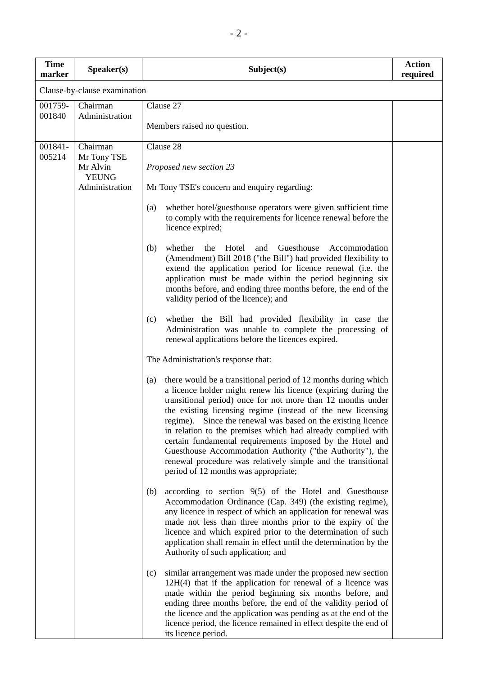| <b>Time</b><br>marker | Speaker(s)                                          | Subject(s)                                                                                                                                                                                                                                                                                                                                                                                                                                                                                                                                                                                                                            | <b>Action</b><br>required |
|-----------------------|-----------------------------------------------------|---------------------------------------------------------------------------------------------------------------------------------------------------------------------------------------------------------------------------------------------------------------------------------------------------------------------------------------------------------------------------------------------------------------------------------------------------------------------------------------------------------------------------------------------------------------------------------------------------------------------------------------|---------------------------|
|                       | Clause-by-clause examination                        |                                                                                                                                                                                                                                                                                                                                                                                                                                                                                                                                                                                                                                       |                           |
| 001759-<br>001840     | Chairman<br>Administration                          | Clause 27<br>Members raised no question.                                                                                                                                                                                                                                                                                                                                                                                                                                                                                                                                                                                              |                           |
|                       |                                                     |                                                                                                                                                                                                                                                                                                                                                                                                                                                                                                                                                                                                                                       |                           |
| 001841-<br>005214     | Chairman<br>Mr Tony TSE<br>Mr Alvin<br><b>YEUNG</b> | Clause 28<br>Proposed new section 23                                                                                                                                                                                                                                                                                                                                                                                                                                                                                                                                                                                                  |                           |
|                       | Administration                                      | Mr Tony TSE's concern and enquiry regarding:                                                                                                                                                                                                                                                                                                                                                                                                                                                                                                                                                                                          |                           |
|                       |                                                     | whether hotel/guesthouse operators were given sufficient time<br>(a)<br>to comply with the requirements for licence renewal before the<br>licence expired;                                                                                                                                                                                                                                                                                                                                                                                                                                                                            |                           |
|                       |                                                     | whether<br>Hotel<br>and<br>Guesthouse<br>(b)<br>the<br>Accommodation<br>(Amendment) Bill 2018 ("the Bill") had provided flexibility to<br>extend the application period for licence renewal (i.e. the<br>application must be made within the period beginning six<br>months before, and ending three months before, the end of the<br>validity period of the licence); and                                                                                                                                                                                                                                                            |                           |
|                       |                                                     | whether the Bill had provided flexibility in case the<br>(c)<br>Administration was unable to complete the processing of<br>renewal applications before the licences expired.                                                                                                                                                                                                                                                                                                                                                                                                                                                          |                           |
|                       |                                                     | The Administration's response that:                                                                                                                                                                                                                                                                                                                                                                                                                                                                                                                                                                                                   |                           |
|                       |                                                     | there would be a transitional period of 12 months during which<br>(a)<br>a licence holder might renew his licence (expiring during the<br>transitional period) once for not more than 12 months under<br>the existing licensing regime (instead of the new licensing<br>regime). Since the renewal was based on the existing licence<br>in relation to the premises which had already complied with<br>certain fundamental requirements imposed by the Hotel and<br>Guesthouse Accommodation Authority ("the Authority"), the<br>renewal procedure was relatively simple and the transitional<br>period of 12 months was appropriate; |                           |
|                       |                                                     | according to section $9(5)$ of the Hotel and Guesthouse<br>(b)<br>Accommodation Ordinance (Cap. 349) (the existing regime),<br>any licence in respect of which an application for renewal was<br>made not less than three months prior to the expiry of the<br>licence and which expired prior to the determination of such<br>application shall remain in effect until the determination by the<br>Authority of such application; and                                                                                                                                                                                                |                           |
|                       |                                                     | similar arrangement was made under the proposed new section<br>(c)<br>$12H(4)$ that if the application for renewal of a licence was<br>made within the period beginning six months before, and<br>ending three months before, the end of the validity period of<br>the licence and the application was pending as at the end of the<br>licence period, the licence remained in effect despite the end of<br>its licence period.                                                                                                                                                                                                       |                           |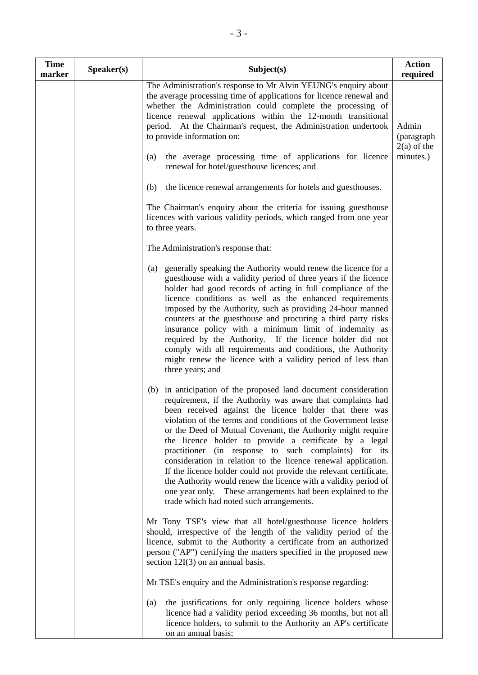| <b>Time</b><br>marker | Speaker(s) | Subject(s)                                                                                                                                                                                                                                                                                                                                                                                                                                                                                                                                                                                                                                                                                                                                                          | <b>Action</b><br>required            |
|-----------------------|------------|---------------------------------------------------------------------------------------------------------------------------------------------------------------------------------------------------------------------------------------------------------------------------------------------------------------------------------------------------------------------------------------------------------------------------------------------------------------------------------------------------------------------------------------------------------------------------------------------------------------------------------------------------------------------------------------------------------------------------------------------------------------------|--------------------------------------|
|                       |            | The Administration's response to Mr Alvin YEUNG's enquiry about<br>the average processing time of applications for licence renewal and<br>whether the Administration could complete the processing of<br>licence renewal applications within the 12-month transitional<br>period. At the Chairman's request, the Administration undertook<br>to provide information on:                                                                                                                                                                                                                                                                                                                                                                                             | Admin<br>(paragraph<br>$2(a)$ of the |
|                       |            | the average processing time of applications for licence<br>(a)<br>renewal for hotel/guesthouse licences; and                                                                                                                                                                                                                                                                                                                                                                                                                                                                                                                                                                                                                                                        | minutes.)                            |
|                       |            | the licence renewal arrangements for hotels and guesthouses.<br>(b)                                                                                                                                                                                                                                                                                                                                                                                                                                                                                                                                                                                                                                                                                                 |                                      |
|                       |            | The Chairman's enquiry about the criteria for issuing guesthouse<br>licences with various validity periods, which ranged from one year<br>to three years.                                                                                                                                                                                                                                                                                                                                                                                                                                                                                                                                                                                                           |                                      |
|                       |            | The Administration's response that:                                                                                                                                                                                                                                                                                                                                                                                                                                                                                                                                                                                                                                                                                                                                 |                                      |
|                       |            | (a) generally speaking the Authority would renew the licence for a<br>guesthouse with a validity period of three years if the licence<br>holder had good records of acting in full compliance of the<br>licence conditions as well as the enhanced requirements<br>imposed by the Authority, such as providing 24-hour manned<br>counters at the guesthouse and procuring a third party risks<br>insurance policy with a minimum limit of indemnity as<br>required by the Authority. If the licence holder did not<br>comply with all requirements and conditions, the Authority<br>might renew the licence with a validity period of less than<br>three years; and                                                                                                 |                                      |
|                       |            | in anticipation of the proposed land document consideration<br>(b)<br>requirement, if the Authority was aware that complaints had<br>been received against the licence holder that there was<br>violation of the terms and conditions of the Government lease<br>or the Deed of Mutual Covenant, the Authority might require<br>the licence holder to provide a certificate by a legal<br>practitioner (in response to such complaints) for its<br>consideration in relation to the licence renewal application.<br>If the licence holder could not provide the relevant certificate,<br>the Authority would renew the licence with a validity period of<br>one year only. These arrangements had been explained to the<br>trade which had noted such arrangements. |                                      |
|                       |            | Mr Tony TSE's view that all hotel/guesthouse licence holders<br>should, irrespective of the length of the validity period of the<br>licence, submit to the Authority a certificate from an authorized<br>person ("AP") certifying the matters specified in the proposed new<br>section $12I(3)$ on an annual basis.                                                                                                                                                                                                                                                                                                                                                                                                                                                 |                                      |
|                       |            | Mr TSE's enquiry and the Administration's response regarding:                                                                                                                                                                                                                                                                                                                                                                                                                                                                                                                                                                                                                                                                                                       |                                      |
|                       |            | the justifications for only requiring licence holders whose<br>(a)<br>licence had a validity period exceeding 36 months, but not all<br>licence holders, to submit to the Authority an AP's certificate<br>on an annual basis;                                                                                                                                                                                                                                                                                                                                                                                                                                                                                                                                      |                                      |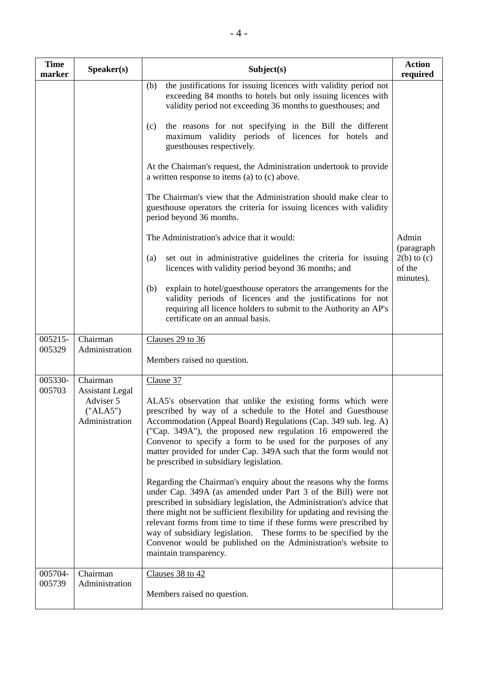| <b>Time</b><br>marker | Speaker(s)                                                                    | Subject(s)                                                                                                                                                                                                                                                                                                                                                                                                                                                                                                                                                                                                                                                                                                                                                                                                                                                                                                                                                                                                                                            | <b>Action</b><br>required                                     |
|-----------------------|-------------------------------------------------------------------------------|-------------------------------------------------------------------------------------------------------------------------------------------------------------------------------------------------------------------------------------------------------------------------------------------------------------------------------------------------------------------------------------------------------------------------------------------------------------------------------------------------------------------------------------------------------------------------------------------------------------------------------------------------------------------------------------------------------------------------------------------------------------------------------------------------------------------------------------------------------------------------------------------------------------------------------------------------------------------------------------------------------------------------------------------------------|---------------------------------------------------------------|
|                       |                                                                               | the justifications for issuing licences with validity period not<br>(b)<br>exceeding 84 months to hotels but only issuing licences with<br>validity period not exceeding 36 months to guesthouses; and<br>the reasons for not specifying in the Bill the different<br>(c)<br>maximum validity periods of licences for hotels and<br>guesthouses respectively.<br>At the Chairman's request, the Administration undertook to provide<br>a written response to items (a) to (c) above.<br>The Chairman's view that the Administration should make clear to<br>guesthouse operators the criteria for issuing licences with validity<br>period beyond 36 months.<br>The Administration's advice that it would:<br>set out in administrative guidelines the criteria for issuing<br>(a)<br>licences with validity period beyond 36 months; and<br>explain to hotel/guesthouse operators the arrangements for the<br>(b)<br>validity periods of licences and the justifications for not<br>requiring all licence holders to submit to the Authority an AP's | Admin<br>(paragraph<br>$2(b)$ to $(c)$<br>of the<br>minutes). |
|                       |                                                                               | certificate on an annual basis.                                                                                                                                                                                                                                                                                                                                                                                                                                                                                                                                                                                                                                                                                                                                                                                                                                                                                                                                                                                                                       |                                                               |
| 005215-<br>005329     | Chairman<br>Administration                                                    | Clauses 29 to 36<br>Members raised no question.                                                                                                                                                                                                                                                                                                                                                                                                                                                                                                                                                                                                                                                                                                                                                                                                                                                                                                                                                                                                       |                                                               |
| 005330-<br>005703     | Chairman<br><b>Assistant Legal</b><br>Adviser 5<br>("ALA5")<br>Administration | Clause 37<br>ALA5's observation that unlike the existing forms which were<br>prescribed by way of a schedule to the Hotel and Guesthouse<br>Accommodation (Appeal Board) Regulations (Cap. 349 sub. leg. A)<br>("Cap. 349A"), the proposed new regulation 16 empowered the<br>Convenor to specify a form to be used for the purposes of any<br>matter provided for under Cap. 349A such that the form would not<br>be prescribed in subsidiary legislation.<br>Regarding the Chairman's enquiry about the reasons why the forms<br>under Cap. 349A (as amended under Part 3 of the Bill) were not<br>prescribed in subsidiary legislation, the Administration's advice that<br>there might not be sufficient flexibility for updating and revising the<br>relevant forms from time to time if these forms were prescribed by<br>way of subsidiary legislation. These forms to be specified by the<br>Convenor would be published on the Administration's website to<br>maintain transparency.                                                         |                                                               |
| 005704-<br>005739     | Chairman<br>Administration                                                    | Clauses 38 to 42<br>Members raised no question.                                                                                                                                                                                                                                                                                                                                                                                                                                                                                                                                                                                                                                                                                                                                                                                                                                                                                                                                                                                                       |                                                               |